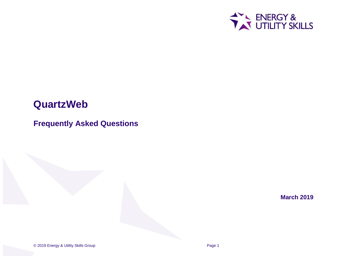

## **QuartzWeb**

## **Frequently Asked Questions**

**March 2019**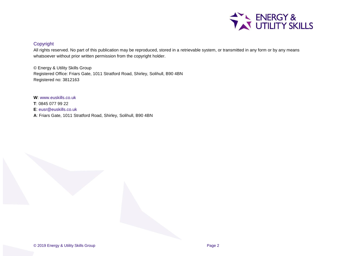

## **Copyright**

All rights reserved. No part of this publication may be reproduced, stored in a retrievable system, or transmitted in any form or by any means whatsoever without prior written permission from the copyright holder.

© Energy & Utility Skills Group Registered Office: Friars Gate, 1011 Stratford Road, Shirley, Solihull, B90 4BN Registered no: 3812163

**W**: [www.euskills.co.uk](http://www.euskills.co.uk/) **T**: 0845 077 99 22 **E**: [eusr@euskills.co.uk](mailto:eusr@euskills.co.uk) **A**: Friars Gate, 1011 Stratford Road, Shirley, Solihull, B90 4BN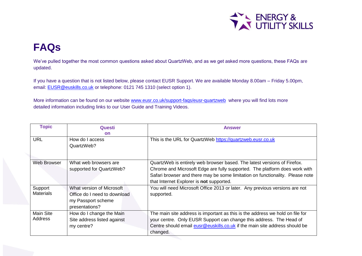

## **FAQs**

We've pulled together the most common questions asked about QuartzWeb, and as we get asked more questions, these FAQs are updated.

If you have a question that is not listed below, please contact EUSR Support. We are available Monday 8.00am – Friday 5.00pm, email: **EUSR@euskills.co.uk** or telephone: 0121 745 1310 (select option 1).

More information can be found on our website [www.eusr.co.uk/support-faqs/eusr-quartzweb](http://www.eusr.co.uk/support-faqs/eusr-quartzweb) where you will find lots more detailed information including links to our User Guide and Training Videos.

| <b>Topic</b>     | <b>Questi</b>                | <b>Answer</b>                                                                 |
|------------------|------------------------------|-------------------------------------------------------------------------------|
|                  | <b>on</b>                    |                                                                               |
| <b>URL</b>       | How do I access              | This is the URL for QuartzWeb https://quartzweb.eusr.co.uk                    |
|                  | QuartzWeb?                   |                                                                               |
| Web Browser      | What web browsers are        | QuartzWeb is entirely web browser based. The latest versions of Firefox.      |
|                  | supported for QuartzWeb?     | Chrome and Microsoft Edge are fully supported. The platform does work with    |
|                  |                              | Safari browser and there may be some limitation on functionality. Please note |
|                  |                              | that Internet Explorer is not supported.                                      |
| Support          | What version of Microsoft    | You will need Microsoft Office 2013 or later. Any previous versions are not   |
| <b>Materials</b> | Office do I need to download | supported.                                                                    |
|                  | my Passport scheme           |                                                                               |
|                  | presentations?               |                                                                               |
| <b>Main Site</b> | How do I change the Main     | The main site address is important as this is the address we hold on file for |
| Address          | Site address listed against  | your centre. Only EUSR Support can change this address. The Head of           |
|                  | my centre?                   | Centre should email eusr@euskills.co.uk if the main site address should be    |
|                  |                              | changed.                                                                      |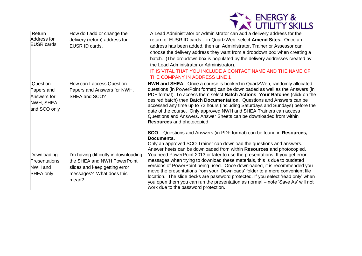

| Return                                                             | How do I add or change the                                                | A Lead Administrator or Administrator can add a delivery address for the                                                                                                                                                                                                                                                                                                                                                                                                                                                                                                                                                                                                                                                                                                                                                                           |
|--------------------------------------------------------------------|---------------------------------------------------------------------------|----------------------------------------------------------------------------------------------------------------------------------------------------------------------------------------------------------------------------------------------------------------------------------------------------------------------------------------------------------------------------------------------------------------------------------------------------------------------------------------------------------------------------------------------------------------------------------------------------------------------------------------------------------------------------------------------------------------------------------------------------------------------------------------------------------------------------------------------------|
| Address for                                                        | delivery (return) address for                                             | return of EUSR ID cards - in QuartzWeb, select Amend Sites. Once an                                                                                                                                                                                                                                                                                                                                                                                                                                                                                                                                                                                                                                                                                                                                                                                |
| <b>EUSR</b> cards                                                  | EUSR ID cards.                                                            | address has been added, then an Administrator, Trainer or Assessor can                                                                                                                                                                                                                                                                                                                                                                                                                                                                                                                                                                                                                                                                                                                                                                             |
|                                                                    |                                                                           | choose the delivery address they want from a dropdown box when creating a                                                                                                                                                                                                                                                                                                                                                                                                                                                                                                                                                                                                                                                                                                                                                                          |
|                                                                    |                                                                           | batch. (The dropdown box is populated by the delivery addresses created by                                                                                                                                                                                                                                                                                                                                                                                                                                                                                                                                                                                                                                                                                                                                                                         |
|                                                                    |                                                                           | the Lead Administrator or Administrator).                                                                                                                                                                                                                                                                                                                                                                                                                                                                                                                                                                                                                                                                                                                                                                                                          |
|                                                                    |                                                                           | IT IS VITAL THAT YOU INCLUDE A CONTACT NAME AND THE NAME OF                                                                                                                                                                                                                                                                                                                                                                                                                                                                                                                                                                                                                                                                                                                                                                                        |
|                                                                    |                                                                           | THE COMPANY IN ADDRESS LINE 1                                                                                                                                                                                                                                                                                                                                                                                                                                                                                                                                                                                                                                                                                                                                                                                                                      |
| Question<br>Papers and<br>Answers for<br>NWH, SHEA<br>and SCO only | How can I access Question<br>Papers and Answers for NWH,<br>SHEA and SCO? | <b>NWH and SHEA</b> - Once a course is booked in QuartzWeb, randomly allocated<br>questions (in PowerPoint format) can be downloaded as well as the Answers (in<br>PDF format). To access them select Batch Actions, Your Batches (click on the<br>desired batch) then Batch Documentation. Questions and Answers can be<br>accessed any time up to 72 hours (including Saturdays and Sundays) before the<br>date of the course. Only approved NWH and SHEA Trainers can access<br>Questions and Answers. Answer Sheets can be downloaded from within<br><b>Resources</b> and photocopied.<br><b>SCO</b> – Questions and Answers (in PDF format) can be found in <b>Resources</b> ,<br>Documents.<br>Only an approved SCO Trainer can download the questions and answers.<br>Answer heets can be downloaded from within Resources and photocopied. |
| Downloading                                                        | I'm having difficulty in downloading                                      | You need PowerPoint 2013 or later to use the presentations. If you get error                                                                                                                                                                                                                                                                                                                                                                                                                                                                                                                                                                                                                                                                                                                                                                       |
| Presentations                                                      | the SHEA and NWH PowerPoint                                               | messages when trying to download these materials, this is due to outdated<br>versions of PowerPoint being used. Once downloaded, it is recommended you                                                                                                                                                                                                                                                                                                                                                                                                                                                                                                                                                                                                                                                                                             |
| NWH and                                                            | slides and keep getting error                                             | move the presentations from your 'Downloads' folder to a more convenient file                                                                                                                                                                                                                                                                                                                                                                                                                                                                                                                                                                                                                                                                                                                                                                      |
| SHEA only                                                          | messages? What does this                                                  | location. The slide decks are password protected. If you select 'read only' when                                                                                                                                                                                                                                                                                                                                                                                                                                                                                                                                                                                                                                                                                                                                                                   |
|                                                                    | mean?                                                                     | you open them you can run the presentation as normal – note 'Save As' will not                                                                                                                                                                                                                                                                                                                                                                                                                                                                                                                                                                                                                                                                                                                                                                     |
|                                                                    |                                                                           | work due to the password protection.                                                                                                                                                                                                                                                                                                                                                                                                                                                                                                                                                                                                                                                                                                                                                                                                               |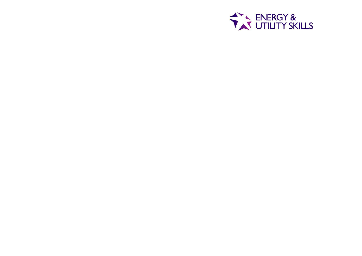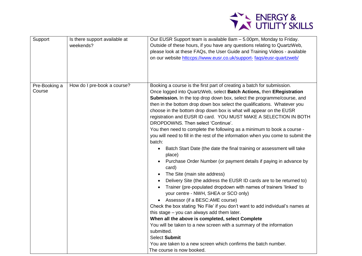

| Support                 | Is there support available at<br>weekends? | Our EUSR Support team is available 8am – 5.00pm, Monday to Friday.<br>Outside of these hours, if you have any questions relating to QuartzWeb,<br>please look at these FAQs, the User Guide and Training Videos - available<br>on our website httccps://www.eusr.co.uk/support- faqs/eusr-quartzweb/                                                                                                                                                                                                                                                                                                                                                                                                                                                                                                                                                                                                                                                                                                                                                                                                                                                                                                                                                                                                                                                                                                                                                                                    |
|-------------------------|--------------------------------------------|-----------------------------------------------------------------------------------------------------------------------------------------------------------------------------------------------------------------------------------------------------------------------------------------------------------------------------------------------------------------------------------------------------------------------------------------------------------------------------------------------------------------------------------------------------------------------------------------------------------------------------------------------------------------------------------------------------------------------------------------------------------------------------------------------------------------------------------------------------------------------------------------------------------------------------------------------------------------------------------------------------------------------------------------------------------------------------------------------------------------------------------------------------------------------------------------------------------------------------------------------------------------------------------------------------------------------------------------------------------------------------------------------------------------------------------------------------------------------------------------|
| Pre-Booking a<br>Course | How do I pre-book a course?                | Booking a course is the first part of creating a batch for submission.<br>Once logged into QuartzWeb, select Batch Actions, then ERegistration<br>Submission. In the top drop down box, select the programme/course, and<br>then in the bottom drop down box select the qualifications. Whatever you<br>choose in the bottom drop down box is what will appear on the EUSR<br>registration and EUSR ID card. YOU MUST MAKE A SELECTION IN BOTH<br>DROPDOWNS. Then select 'Continue'.<br>You then need to complete the following as a minimum to book a course -<br>you will need to fill in the rest of the information when you come to submit the<br>batch:<br>Batch Start Date (the date the final training or assessment will take<br>place)<br>Purchase Order Number (or payment details if paying in advance by<br>card)<br>The Site (main site address)<br>Delivery Site (the address the EUSR ID cards are to be returned to)<br>Trainer (pre-populated dropdown with names of trainers 'linked' to<br>your centre - NWH, SHEA or SCO only)<br>Assessor (if a BESC:AME course)<br>Check the box stating 'No File' if you don't want to add individual's names at<br>this stage - you can always add them later.<br>When all the above is completed, select Complete<br>You will be taken to a new screen with a summary of the information<br>submitted.<br><b>Select Submit</b><br>You are taken to a new screen which confirms the batch number.<br>The course is now booked. |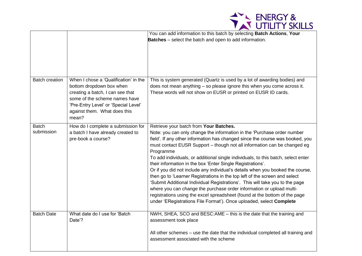

|                       |                                       | You can add information to this batch by selecting Batch Actions, Your                                                                               |
|-----------------------|---------------------------------------|------------------------------------------------------------------------------------------------------------------------------------------------------|
|                       |                                       | <b>Batches</b> – select the batch and open to add information.                                                                                       |
|                       |                                       |                                                                                                                                                      |
|                       |                                       |                                                                                                                                                      |
|                       |                                       |                                                                                                                                                      |
|                       |                                       |                                                                                                                                                      |
|                       |                                       |                                                                                                                                                      |
| <b>Batch creation</b> | When I chose a 'Qualification' in the | This is system generated (Quartz is used by a lot of awarding bodies) and                                                                            |
|                       | bottom dropdown box when              | does not mean anything – so please ignore this when you come across it.                                                                              |
|                       | creating a batch, I can see that      | These words will not show on EUSR or printed on EUSR ID cards.                                                                                       |
|                       | some of the scheme names have         |                                                                                                                                                      |
|                       | 'Pre-Entry Level' or 'Special Level'  |                                                                                                                                                      |
|                       | against them. What does this          |                                                                                                                                                      |
|                       | mean?                                 |                                                                                                                                                      |
| <b>Batch</b>          | How do I complete a submission for    | Retrieve your batch from Your Batches.                                                                                                               |
| submission            | a batch I have already created to     | Note: you can only change the information in the 'Purchase order number                                                                              |
|                       | pre-book a course?                    | field'. If any other information has changed since the course was booked, you                                                                        |
|                       |                                       | must contact EUSR Support - though not all information can be changed eg                                                                             |
|                       |                                       | Programme                                                                                                                                            |
|                       |                                       | To add individuals, or additional single individuals, to this batch, select enter                                                                    |
|                       |                                       | their information in the box 'Enter Single Registrations'.                                                                                           |
|                       |                                       | Or if you did not include any individual's details when you booked the course,                                                                       |
|                       |                                       | then go to 'Learner Registrations in the top left of the screen and select                                                                           |
|                       |                                       | 'Submit Additional Individual Registrations'. This will take you to the page<br>where you can change the purchase order information or upload multi- |
|                       |                                       | registrations using the excel spreadsheet (found at the bottom of the page                                                                           |
|                       |                                       | under 'ERegistrations File Format'). Once uploaded, select Complete                                                                                  |
|                       |                                       |                                                                                                                                                      |
| <b>Batch Date</b>     | What date do I use for 'Batch         | NWH, SHEA, SCO and BESC:AME - this is the date that the training and                                                                                 |
|                       | Date'?                                | assessment took place                                                                                                                                |
|                       |                                       |                                                                                                                                                      |
|                       |                                       | All other schemes - use the date that the individual completed all training and                                                                      |
|                       |                                       | assessment associated with the scheme                                                                                                                |
|                       |                                       |                                                                                                                                                      |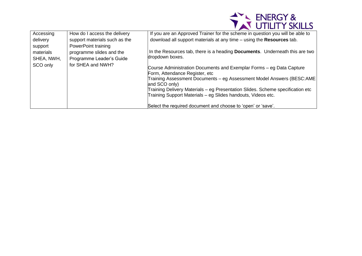

| Accessing  | How do I access the delivery  | If you are an Approved Trainer for the scheme in question you will be able to                                                                                                                                                                                                                                                                       |
|------------|-------------------------------|-----------------------------------------------------------------------------------------------------------------------------------------------------------------------------------------------------------------------------------------------------------------------------------------------------------------------------------------------------|
| delivery   | support materials such as the | download all support materials at any time – using the Resources tab.                                                                                                                                                                                                                                                                               |
| support    | PowerPoint training           |                                                                                                                                                                                                                                                                                                                                                     |
| materials  | programme slides and the      | In the Resources tab, there is a heading <b>Documents</b> . Underneath this are two                                                                                                                                                                                                                                                                 |
| SHEA, NWH, | Programme Leader's Guide      | dropdown boxes.                                                                                                                                                                                                                                                                                                                                     |
| SCO only   | for SHEA and NWH?             | Course Administration Documents and Exemplar Forms – eg Data Capture<br>Form, Attendance Register, etc<br>Training Assessment Documents - eg Assessment Model Answers (BESC: AME<br>and SCO only)<br>Training Delivery Materials - eg Presentation Slides. Scheme specification etc<br>Training Support Materials – eg Slides handouts, Videos etc. |
|            |                               | Select the required document and choose to 'open' or 'save'.                                                                                                                                                                                                                                                                                        |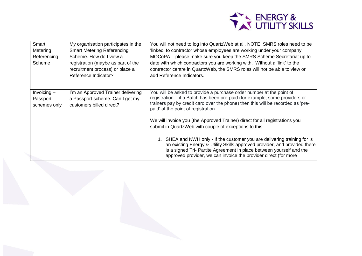

| Smart         | My organisation participates in the | You will not need to log into QuartzWeb at all. NOTE: SMRS roles need to be                                                                                    |
|---------------|-------------------------------------|----------------------------------------------------------------------------------------------------------------------------------------------------------------|
| Metering      | <b>Smart Metering Referencing</b>   | 'linked' to contractor whose employees are working under your company                                                                                          |
| Referencing   | Scheme. How do I view a             | MOCoPA – please make sure you keep the SMRS Scheme Secretariat up to                                                                                           |
| Scheme        | registration (maybe as part of the  | date with which contractors you are working with. Without a 'link' to the                                                                                      |
|               | recruitment process) or place a     | contractor centre in QuartzWeb, the SMRS roles will not be able to view or                                                                                     |
|               | Reference Indicator?                | add Reference Indicators.                                                                                                                                      |
|               |                                     |                                                                                                                                                                |
|               |                                     |                                                                                                                                                                |
| $Invoicing -$ | I'm an Approved Trainer delivering  | You will be asked to provide a purchase order number at the point of                                                                                           |
| Passport      | a Passport scheme. Can I get my     | registration – if a Batch has been pre-paid (for example, some providers or<br>trainers pay by credit card over the phone) then this will be recorded as 'pre- |
| schemes only  | customers billed direct?            | paid' at the point of registration                                                                                                                             |
|               |                                     |                                                                                                                                                                |
|               |                                     | We will invoice you (the Approved Trainer) direct for all registrations you                                                                                    |
|               |                                     | submit in QuartzWeb with couple of exceptions to this:                                                                                                         |
|               |                                     |                                                                                                                                                                |
|               |                                     | 1. SHEA and NWH only - If the customer you are delivering training for is                                                                                      |
|               |                                     | an existing Energy & Utility Skills approved provider, and provided there                                                                                      |
|               |                                     | is a signed Tri- Partite Agreement in place between yourself and the                                                                                           |
|               |                                     | approved provider, we can invoice the provider direct (for more                                                                                                |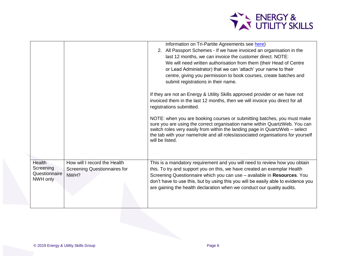

|                                                         |                                                                      | information on Tri-Partite Agreements see here)<br>2. All Passport Schemes - If we have invoiced an organisation in the<br>last 12 months, we can invoice the customer direct. NOTE:<br>We will need written authorisation from them (their Head of Centre<br>or Lead Administrator) that we can 'attach' your name to their<br>centre, giving you permission to book courses, create batches and<br>submit registrations in their name.                                                                                              |
|---------------------------------------------------------|----------------------------------------------------------------------|---------------------------------------------------------------------------------------------------------------------------------------------------------------------------------------------------------------------------------------------------------------------------------------------------------------------------------------------------------------------------------------------------------------------------------------------------------------------------------------------------------------------------------------|
|                                                         |                                                                      | If they are not an Energy & Utility Skills approved provider or we have not<br>invoiced them in the last 12 months, then we will invoice you direct for all<br>registrations submitted.<br>NOTE: when you are booking courses or submitting batches, you must make<br>sure you are using the correct organisation name within QuartzWeb. You can<br>switch roles very easily from within the landing page in QuartzWeb - select<br>the tab with your name/role and all roles/associated organisations for yourself<br>will be listed. |
| <b>Health</b><br>Screening<br>Questionnaire<br>NWH only | How will I record the Health<br>Screening Questionnaires for<br>NWH? | This is a mandatory requirement and you will need to review how you obtain<br>this. To try and support you on this, we have created an exemplar Health<br>Screening Questionnaire which you can use - available in Resources. You<br>don't have to use this, but by using this you will be easily able to evidence you<br>are gaining the health declaration when we conduct our quality audits.                                                                                                                                      |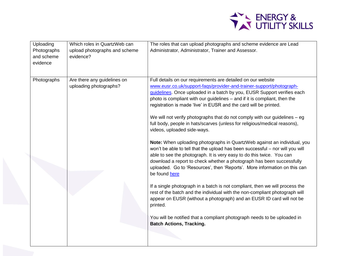

| Uploading<br>Photographs<br>and scheme<br>evidence | Which roles in QuartzWeb can<br>upload photographs and scheme<br>evidence? | The roles that can upload photographs and scheme evidence are Lead<br>Administrator, Administrator, Trainer and Assessor.                                                                                                                                                                                                                                                                                                                                                                                             |
|----------------------------------------------------|----------------------------------------------------------------------------|-----------------------------------------------------------------------------------------------------------------------------------------------------------------------------------------------------------------------------------------------------------------------------------------------------------------------------------------------------------------------------------------------------------------------------------------------------------------------------------------------------------------------|
| Photographs                                        | Are there any guidelines on<br>uploading photographs?                      | Full details on our requirements are detailed on our website<br>www.eusr.co.uk/support-faqs/provider-and-trainer-support/photograph-<br>guidelines. Once uploaded in a batch by you, EUSR Support verifies each<br>photo is compliant with our guidelines - and if it is compliant, then the<br>registration is made 'live' in EUSR and the card will be printed.<br>We will not verify photographs that do not comply with our guidelines – eg                                                                       |
|                                                    |                                                                            | full body, people in hats/scarves (unless for religious/medical reasons),<br>videos, uploaded side-ways.<br>Note: When uploading photographs in QuartzWeb against an individual, you<br>won't be able to tell that the upload has been successful - nor will you will<br>able to see the photograph. It is very easy to do this twice. You can<br>download a report to check whether a photograph has been successfully<br>uploaded. Go to 'Resources', then 'Reports'. More information on this can<br>be found here |
|                                                    |                                                                            | If a single photograph in a batch is not compliant, then we will process the<br>rest of the batch and the individual with the non-compliant photograph will<br>appear on EUSR (without a photograph) and an EUSR ID card will not be<br>printed.<br>You will be notified that a compliant photograph needs to be uploaded in                                                                                                                                                                                          |
|                                                    |                                                                            | <b>Batch Actions, Tracking.</b>                                                                                                                                                                                                                                                                                                                                                                                                                                                                                       |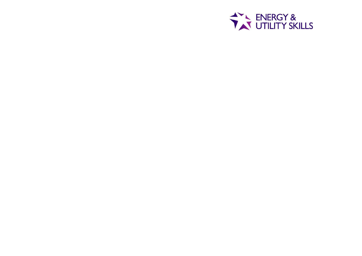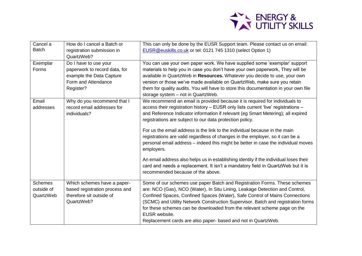

| Cancel a<br><b>Batch</b>                  | How do I cancel a Batch or<br>registration submission in<br>QuartzWeb?                                                 | This can only be done by the EUSR Support team. Please contact us on email:<br>EUSR@euskills.co.uk or tel: 0121 745 1310 (select Option 1)                                                                                                                                                                                                                                                                                                                                                                                                                                                                                                                                                                                                                                                           |
|-------------------------------------------|------------------------------------------------------------------------------------------------------------------------|------------------------------------------------------------------------------------------------------------------------------------------------------------------------------------------------------------------------------------------------------------------------------------------------------------------------------------------------------------------------------------------------------------------------------------------------------------------------------------------------------------------------------------------------------------------------------------------------------------------------------------------------------------------------------------------------------------------------------------------------------------------------------------------------------|
| Exemplar<br>Forms                         | Do I have to use your<br>paperwork to record data, for<br>example the Data Capture<br>Form and Attendance<br>Register? | You can use your own paper work. We have supplied some 'exemplar' support<br>materials to help you in case you don't have your own paperwork, They will be<br>available in QuartzWeb in Resources. Whatever you decide to use, your own<br>version or those we've made available on QuartzWeb, make sure you retain<br>them for quality audits. You will have to store this documentation in your own file<br>storage system - not in QuartzWeb.                                                                                                                                                                                                                                                                                                                                                     |
| Email<br>addresses                        | Why do you recommend that I<br>record email addresses for<br>individuals?                                              | We recommend an email is provided because it is required for individuals to<br>access their registration history - EUSR only lists current 'live' registrations -<br>and Reference Indicator information if relevant (eg Smart Metering); all expired<br>registrations are subject to our data protection policy.<br>For us the email address is the link to the individual because in the main<br>registrations are valid regardless of changes in the employer, so it can be a<br>personal email address – indeed this might be better in case the individual moves<br>employers.<br>An email address also helps us in establishing identity if the individual loses their<br>card and needs a replacement. It isn't a mandatory field in QuartzWeb but it is<br>recommended because of the above. |
| <b>Schemes</b><br>outside of<br>QuartzWeb | Which schemes have a paper-<br>based registration process and<br>therefore sit outside of<br>QuartzWeb?                | Some of our schemes use paper Batch and Registration Forms. These schemes<br>are: NCO (Gas), NCO (Water), In Situ Lining, Leakage Detection and Control,<br>Confined Spaces, Confined Spaces (Water), Safe Control of Mains Connections<br>(SCMC) and Utility Network Construction Supervisor. Batch and registration forms<br>for these schemes can be downloaded from the relevant scheme page on the<br>EUSR website.<br>Replacement cards are also paper- based and not in QuartzWeb.                                                                                                                                                                                                                                                                                                            |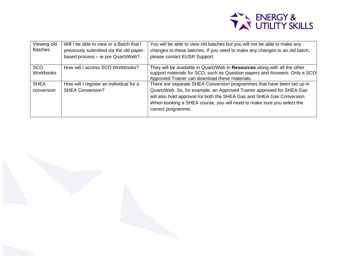

| Viewing old<br><b>Batches</b> | Will I be able to view or a Batch that I<br>previously submitted via the old paper-<br>based process - ie pre QuartzWeb? | You will be able to view old batches but you will not be able to make any<br>changes to these batches. If you need to make any changes to an old batch,<br>please contact EUSR Support.                                                        |
|-------------------------------|--------------------------------------------------------------------------------------------------------------------------|------------------------------------------------------------------------------------------------------------------------------------------------------------------------------------------------------------------------------------------------|
| <b>SCO</b><br>Workbooks       | How will I access SCO Workbooks?                                                                                         | They will be available in QuartzWeb in Resources along with all the other<br>support materials for SCO, such as Question papers and Answers. Only a SCO<br>Approved Trainer can download these materials.                                      |
| <b>SHEA</b>                   | How will I register an individual for a                                                                                  | There are separate SHEA Conversion programmes that have been set up in                                                                                                                                                                         |
| conversion                    | <b>SHEA Conversion?</b>                                                                                                  | QuartzWeb. So, for example, an Approved Trainer approved for SHEA Gas<br>will also hold approval for both the SHEA Gas and SHEA Gas Conversion.<br>When booking a SHEA course, you will need to make sure you select the<br>correct programme. |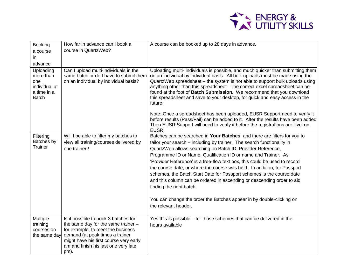

| <b>Booking</b>                                                                | How far in advance can I book a                                                                                                                                                                                                       | A course can be booked up to 28 days in advance.                                                                                                                                                                                                                                                                                                                                                                                                                                                  |
|-------------------------------------------------------------------------------|---------------------------------------------------------------------------------------------------------------------------------------------------------------------------------------------------------------------------------------|---------------------------------------------------------------------------------------------------------------------------------------------------------------------------------------------------------------------------------------------------------------------------------------------------------------------------------------------------------------------------------------------------------------------------------------------------------------------------------------------------|
| a course                                                                      | course in QuartzWeb?                                                                                                                                                                                                                  |                                                                                                                                                                                                                                                                                                                                                                                                                                                                                                   |
| in.                                                                           |                                                                                                                                                                                                                                       |                                                                                                                                                                                                                                                                                                                                                                                                                                                                                                   |
| advance                                                                       |                                                                                                                                                                                                                                       |                                                                                                                                                                                                                                                                                                                                                                                                                                                                                                   |
| Uploading<br>more than<br>one<br>individual at<br>a time in a<br><b>Batch</b> | Can I upload multi-individuals in the<br>same batch or do I have to submit them<br>on an individual by individual basis?                                                                                                              | Uploading multi- individuals is possible, and much quicker than submitting them<br>on an individual by individual basis. All bulk uploads must be made using the<br>QuartzWeb spreadsheet - the system is not able to support bulk uploads using<br>anything other than this spreadsheet  The correct excel spreadsheet can be<br>found at the foot of Batch Submission. We recommend that you download<br>this spreadsheet and save to your desktop, for quick and easy access in the<br>future. |
|                                                                               |                                                                                                                                                                                                                                       | Note: Once a spreadsheet has been uploaded, EUSR Support need to verify it<br>before results (Pass/Fail) can be added to it. After the results have been added<br>Then EUSR Support will need to verify it before the registrations are 'live' on<br>EUSR.                                                                                                                                                                                                                                        |
| Filtering                                                                     | Will I be able to filter my batches to                                                                                                                                                                                                | Batches can be searched in Your Batches, and there are filters for you to                                                                                                                                                                                                                                                                                                                                                                                                                         |
| Batches by                                                                    | view all training/courses delivered by                                                                                                                                                                                                | tailor your search - including by trainer. The search functionality in                                                                                                                                                                                                                                                                                                                                                                                                                            |
| Trainer                                                                       | one trainer?                                                                                                                                                                                                                          | QuartzWeb allows searching on Batch ID, Provider Reference,                                                                                                                                                                                                                                                                                                                                                                                                                                       |
|                                                                               |                                                                                                                                                                                                                                       | Programme ID or Name, Qualification ID or name and Trainer. As                                                                                                                                                                                                                                                                                                                                                                                                                                    |
|                                                                               |                                                                                                                                                                                                                                       | 'Provider Reference' is a free-flow text box, this could be used to record                                                                                                                                                                                                                                                                                                                                                                                                                        |
|                                                                               |                                                                                                                                                                                                                                       | the course date, or where the course was held. In addition, for Passport                                                                                                                                                                                                                                                                                                                                                                                                                          |
|                                                                               |                                                                                                                                                                                                                                       | schemes, the Batch Start Date for Passport schemes is the course date                                                                                                                                                                                                                                                                                                                                                                                                                             |
|                                                                               |                                                                                                                                                                                                                                       | and this column can be ordered in ascending or descending order to aid<br>finding the right batch.                                                                                                                                                                                                                                                                                                                                                                                                |
|                                                                               |                                                                                                                                                                                                                                       |                                                                                                                                                                                                                                                                                                                                                                                                                                                                                                   |
|                                                                               |                                                                                                                                                                                                                                       | You can change the order the Batches appear in by double-clicking on<br>the relevant header.                                                                                                                                                                                                                                                                                                                                                                                                      |
|                                                                               |                                                                                                                                                                                                                                       |                                                                                                                                                                                                                                                                                                                                                                                                                                                                                                   |
| Multiple<br>training<br>courses on<br>the same day                            | Is it possible to book 3 batches for<br>the same day for the same trainer -<br>for example, to meet the business<br>demand (at peak times a trainer<br>might have his first course very early<br>am and finish his last one very late | Yes this is possible – for those schemes that can be delivered in the<br>hours available                                                                                                                                                                                                                                                                                                                                                                                                          |
|                                                                               | pm).                                                                                                                                                                                                                                  |                                                                                                                                                                                                                                                                                                                                                                                                                                                                                                   |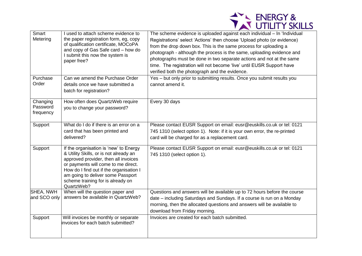

| Smart<br>Metering                 | I used to attach scheme evidence to<br>the paper registration form, eg, copy<br>of qualification certificate, MOCoPA<br>and copy of Gas Safe card - how do<br>I submit this now the system is<br>paper free?                                                                                       | The scheme evidence is uploaded against each individual - In 'Individual<br>Registrations' select 'Actions' then choose 'Upload photo (or evidence)<br>from the drop down box. This is the same process for uploading a<br>photograph - although the process is the same, uploading evidence and<br>photographs must be done in two separate actions and not at the same<br>time. The registration will not become 'live' until EUSR Support have<br>verified both the photograph and the evidence. |
|-----------------------------------|----------------------------------------------------------------------------------------------------------------------------------------------------------------------------------------------------------------------------------------------------------------------------------------------------|-----------------------------------------------------------------------------------------------------------------------------------------------------------------------------------------------------------------------------------------------------------------------------------------------------------------------------------------------------------------------------------------------------------------------------------------------------------------------------------------------------|
| Purchase<br>Order                 | Can we amend the Purchase Order<br>details once we have submitted a<br>batch for registration?                                                                                                                                                                                                     | Yes - but only prior to submitting results. Once you submit results you<br>cannot amend it.                                                                                                                                                                                                                                                                                                                                                                                                         |
| Changing<br>Password<br>frequency | How often does QuartzWeb require<br>you to change your password?                                                                                                                                                                                                                                   | Every 30 days                                                                                                                                                                                                                                                                                                                                                                                                                                                                                       |
| Support                           | What do I do if there is an error on a<br>card that has been printed and<br>delivered?                                                                                                                                                                                                             | Please contact EUSR Support on email: eusr@euskills.co.uk or tel: 0121<br>745 1310 (select option 1). Note: if it is your own error, the re-printed<br>card will be charged for as a replacement card.                                                                                                                                                                                                                                                                                              |
| Support                           | If the organisation is 'new' to Energy<br>& Utility Skills, or is not already an<br>approved provider, then all invoices<br>or payments will come to me direct.<br>How do I find out if the organisation I<br>am going to deliver some Passport<br>scheme training for is already on<br>QuartzWeb? | Please contact EUSR Support on email: eusr@euskills.co.uk or tel: 0121<br>745 1310 (select option 1).                                                                                                                                                                                                                                                                                                                                                                                               |
| SHEA, NWH<br>and SCO only         | When will the question paper and<br>answers be available in QuartzWeb?                                                                                                                                                                                                                             | Questions and answers will be available up to 72 hours before the course<br>date - including Saturdays and Sundays. If a course is run on a Monday<br>morning, then the allocated questions and answers will be available to<br>download from Friday morning.                                                                                                                                                                                                                                       |
| Support                           | Will invoices be monthly or separate<br>invoices for each batch submitted?                                                                                                                                                                                                                         | Invoices are created for each batch submitted.                                                                                                                                                                                                                                                                                                                                                                                                                                                      |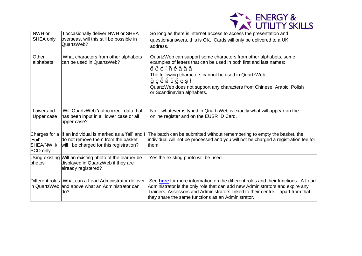

| NWH or<br>SHEA only             | I occasionally deliver NWH or SHEA<br>overseas, will this still be possible in<br>QuartzWeb?                                                  | So long as there is internet access to access the presentation and<br>question/answers, this is OK. Cards will only be delivered to a UK<br>address.                                                                                                                                                                              |
|---------------------------------|-----------------------------------------------------------------------------------------------------------------------------------------------|-----------------------------------------------------------------------------------------------------------------------------------------------------------------------------------------------------------------------------------------------------------------------------------------------------------------------------------|
| Other<br>alphabets              | What characters from other alphabets<br>can be used in QuartzWeb?                                                                             | QuartzWeb can support some characters from other alphabets, some<br>examples of letters that can be used in both first and last names:<br>öðóíñéåäâ<br>The following characters cannot be used in QuartzWeb:<br>ğçễấũğçş∤<br>QuartzWeb does not support any characters from Chinese, Arabic, Polish<br>or Scandinavian alphabets. |
| Lower and<br>Upper case         | Will QuartzWeb 'autocorrect' data that<br>has been input in all lower case or all<br>upper case?                                              | No – whatever is typed in QuartzWeb is exactly what will appear on the<br>online register and on the EUSR ID Card.                                                                                                                                                                                                                |
| 'Fail'<br>SHEA/NWH/<br>SCO only | Charges for a If an individual is marked as a 'fail' and I<br>do not remove them from the basket,<br>will I be charged for this registration? | The batch can be submitted without remembering to empty the basket, the<br>individual will not be processed and you will not be charged a registration fee for<br>them.                                                                                                                                                           |
| photos                          | Using existing Will an existing photo of the learner be<br>displayed in QuartzWeb if they are<br>already registered?                          | Yes the existing photo will be used.                                                                                                                                                                                                                                                                                              |
|                                 | Different roles   What can a Lead Administrator do over<br>in QuartzWeb and above what an Administrator can<br>do?                            | See here for more information on the different roles and their functions. A Lead<br>Administrator is the only role that can add new Administrators and expire any<br>Trainers, Assessors and Administrators linked to their centre - apart from that<br>they share the same functions as an Administrator.                        |